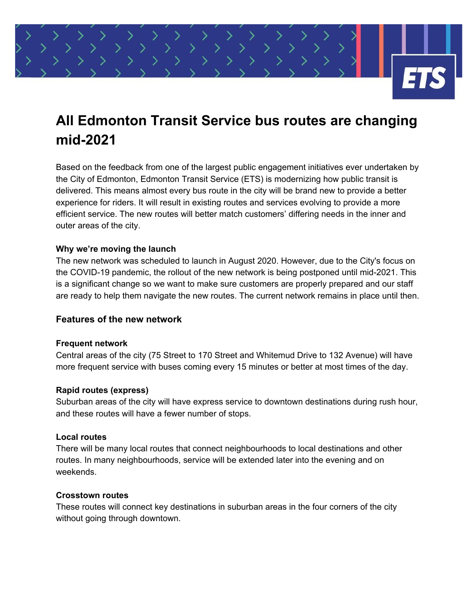

# **All Edmonton Transit Service bus routes are changing mid-2021**

Based on the feedback from one of the largest public engagement initiatives ever undertaken by the City of Edmonton, Edmonton Transit Service (ETS) is modernizing how public transit is delivered. This means almost every bus route in the city will be brand new to provide a better experience for riders. It will result in existing routes and services evolving to provide a more efficient service. The new routes will better match customers' differing needs in the inner and outer areas of the city.

# **Why we're moving the launch**

The new network was scheduled to launch in August 2020. However, due to the City's focus on the COVID-19 pandemic, the rollout of the new network is being postponed until mid-2021. This is a significant change so we want to make sure customers are properly prepared and our staff are ready to help them navigate the new routes. The current network remains in place until then.

# **Features of the new network**

# **Frequent network**

Central areas of the city (75 Street to 170 Street and Whitemud Drive to 132 Avenue) will have more frequent service with buses coming every 15 minutes or better at most times of the day.

# **Rapid routes (express)**

Suburban areas of the city will have express service to downtown destinations during rush hour, and these routes will have a fewer number of stops.

# **Local routes**

There will be many local routes that connect neighbourhoods to local destinations and other routes. In many neighbourhoods, service will be extended later into the evening and on weekends.

#### **Crosstown routes**

These routes will connect key destinations in suburban areas in the four corners of the city without going through downtown.